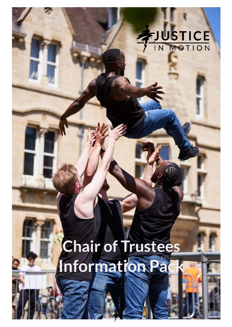# EJUSTICE

1

# **Chair of Trustees Information Pack**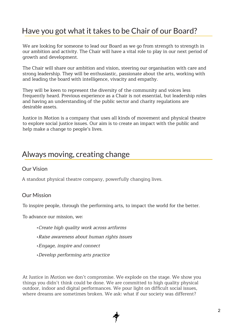# Have you got what it takes to be Chair of our Board?

We are looking for someone to lead our Board as we go from strength to strength in our ambition and activity. The Chair will have a vital role to play in our next period of growth and development.

The Chair will share our ambition and vision, steering our organisation with care and strong leadership. They will be enthusiastic, passionate about the arts, working with and leading the board with intelligence, vivacity and empathy.

They will be keen to represent the diversity of the community and voices less frequently heard. Previous experience as a Chair is not essential, but leadership roles and having an understanding of the public sector and charity regulations are desirable assets.

Justice in Motion is a company that uses all kinds of movement and physical theatre to explore social justice issues. Our aim is to create an impact with the public and help make a change to people's lives.

### Always moving, creating change

#### Our Vision

A standout physical theatre company, powerfully changing lives.

#### Our Mission

To inspire people, through the performing arts, to impact the world for the better.

To advance our mission, we:

- •Create high quality work across artforms
- •Raise awareness about human rights issues
- •Engage, inspire and connect
- •Develop performing arts practice

At Justice in Motion we don't compromise. We explode on the stage. We show you things you didn't think could be done. We are committed to high quality physical outdoor, indoor and digital performances. We pour light on difficult social issues, where dreams are sometimes broken. We ask: what if our society was different?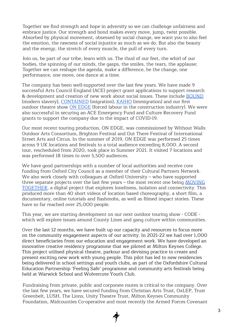Together we find strength and hope in adversity so we can challenge unfairness and embrace justice. Our strength and bond makes every move, jump, twist possible. Absorbed by physical movement, obsessed by social change, we want you to also feel the emotion, the rawness of social injustice as much as we do. But also the beauty and the energy, the stretch of every muscle, the pull of every turn.

Join us, be part of our tribe, learn with us. The thud of our feet, the whirl of our bodies, the spinning of our minds, the gasps, the smiles, the tears, the applause; Together we can reshape the agenda, make a difference, be the change, one performance, one move, one dance at a time.

The company has been well-supported over the last few years. We have made 9 successful Arts Council England (ACE) project grant applications to support research & development and creation of new work about social issues. These include [BOUND](https://www.justiceinmotion.co.uk/show/bound/) (modern slavery), [CONTAINED](https://www.justiceinmotion.co.uk/show/contained/) (migration), [KAIHO](https://www.justiceinmotion.co.uk/show/kaiho/) (immigration) and our first outdoor theatre show ON [EDGE](https://www.justiceinmotion.co.uk/show/on-edge/) (forced labour in the construction industry). We were also successful in securing an ACE Emergency Fund and Culture Recovery Fund grants to support the company due to the impact of COVID-19.

Our most recent touring production, ON EDGE, was commissioned by Without Walls Outdoor Arts Consortium, Brighton Festival and Out There Festival of International Street Arts and Circus. In the summer of 2019, ON EDGE was performed 25 times across 9 UK locations and festivals to a total audience exceeding 8,000. A second tour, rescheduled from 2020, took place in Summer 2021. It visited 7 locations and was performed 18 times to over 5,500 audiences.

We have good partnerships with a number of local authorities and receive core funding from Oxford City Council as a member of their Cultural Partners Network. We also work closely with colleagues at Oxford University – who have supported three separate projects over the last few years – the most recent one being [MOVING](https://www.justiceinmotion.co.uk/show/moving-together/) [TOGETHER,](https://www.justiceinmotion.co.uk/show/moving-together/) a digital project that explores loneliness, isolation and connectivity. This produced more than 40 short videos of location based choreography, a short film, a documentary, online tutorials and flashmobs, as well as filmed impact stories. These have so far reached over 25,000 people.

This year, we are starting development on our next outdoor touring show - CODE which will explore issues around County Lines and gang culture within communities.

Over the last 12 months, we have built up our capacity and resources to focus more on the community engagement aspects of our activity. In 2021-22 we had over 1,000 direct beneficiaries from our education and engagement work. We have developed an innovative creative residency programme that we piloted at Milton Keynes College. This project utilised physical theatre, parkour and devising practice to create and present exciting new work with young people. This pilot has led to new residencies being delivered in school settings and youth clubs, as part of the Oxfordshire Cultural Education Partnership 'Feeling Safe' programme and community arts festivals being held at Warwick School and Wolvercote Youth Club.

Fundraising from private, public and corporate routes is critical to the company. Over the last few years, we have secured funding from Christian Arts Trust, OxLEP, Trust Greenbelt, LUSH, The Lions, Unity Theatre Trust, Milton Keynes Community Foundation, Midcounties Co-operative and most recently the Armed Forces Covenant

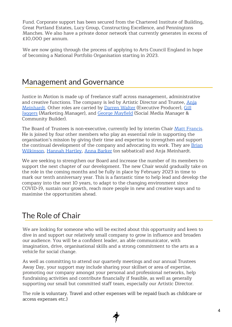Fund. Corporate support has been secured from the Chartered Institute of Building, Great Portland Estates, Lucy Group, Constructing Excellence, and Penningtons Manches. We also have a private donor network that currently generates in excess of £10,000 per annum.

We are now going through the process of applying to Arts Council England in hope of becoming a National Portfolio Organisation starting in 2023.

# Management and Governance

Justice in Motion is made up of freelance staff across management, administrative and creative functions. The company is led by Artistic Director and Trustee, [Anja](https://www.justiceinmotion.co.uk/team/anja-meinhardt/) [Meinhardt](https://www.justiceinmotion.co.uk/team/anja-meinhardt/). Other roles are carried by Darren [Walter](https://www.justiceinmotion.co.uk/team/darren-walter/) (Executive Producer), [Gill](https://www.justiceinmotion.co.uk/team/gill-jaggers/) [Jaggers](https://www.justiceinmotion.co.uk/team/gill-jaggers/) (Marketing Manager), and George [Mayfield](https://www.justiceinmotion.co.uk/team/george-mayfield/) (Social Media Manager & Community Builder).

The Board of Trustees is non-executive, currently led by interim Chair Matt [Francis.](https://www.justiceinmotion.co.uk/team/matt-francis/) He is joined by four other members who play an essential role in supporting the organisation's mission by giving their time and expertise to strengthen and support the continual development of the company and advocating its work. They are **[Brian](https://www.justiceinmotion.co.uk/team/brian-wilkinson/)** [Wilkinson](https://www.justiceinmotion.co.uk/team/brian-wilkinson/), [Hannah](https://www.justiceinmotion.co.uk/team/hannah-hartley/) Hartley, Anna [Barker](https://www.justiceinmotion.co.uk/team/anna-barker/) (on sabbatical) and Anja Meinhardt.

We are seeking to strengthen our Board and increase the number of its members to support the next chapter of our development. The new Chair would gradually take on the role in the coming months and be fully in place by February 2023 in time to mark our tenth anniversary year. This is a fantastic time to help lead and develop the company into the next 10 years, to adapt to the changing environment since COVID-19, sustain our growth, reach more people in new and creative ways and to maximise the opportunities ahead.

# The Role of Chair

We are looking for someone who will be excited about this opportunity and keen to dive in and support our relatively small company to grow in influence and broaden our audience. You will be a confident leader, an able communicator, with imagination, drive, organisational skills and a strong commitment to the arts as a vehicle for social change.

As well as committing to attend our quarterly meetings and our annual Trustees Away Day, your support may include sharing your skillset or area of expertise, promoting our company amongst your personal and professional networks, help fundraising activities and contribute financially if feasible, as well as generally supporting our small but committed staff team, especially our Artistic Director.

The role is voluntary. Travel and other expenses will be repaid (such as childcare or access expenses etc.)

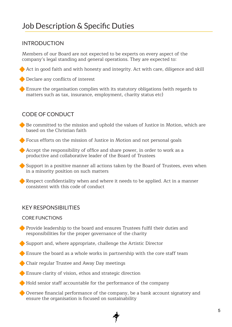#### INTRODUCTION

Members of our Board are not expected to be experts on every aspect of the company's legal standing and general operations. They are expected to:

Act in good faith and with honesty and integrity. Act with care, diligence and skill

**◆** Declare any conflicts of interest

Ensure the organisation complies with its statutory obligations (with regards to matters such as tax, insurance, employment, charity status etc)

#### CODE OF CONDUCT

- Be committed to the mission and uphold the values of Justice in Motion, which are based on the Christian faith
- Focus efforts on the mission of Justice in Motion and not personal goals
- Accept the responsibility of office and share power, in order to work as a productive and collaborative leader of the Board of Trustees
- Support in a positive manner all actions taken by the Board of Trustees, even when in a minority position on such matters
- Respect confidentiality when and where it needs to be applied. Act in a manner consistent with this code of conduct

#### KEY RESPONSIBILITIES

#### CORE FUNCTIONS

- Provide leadership to the board and ensures Trustees fulfil their duties and responsibilities for the proper governance of the charity
- Support and, where appropriate, challenge the Artistic Director
- Ensure the board as a whole works in partnership with the core staff team
- Chair regular Trustee and Away Day meetings
- Ensure clarity of vision, ethos and strategic direction
- Hold senior staff accountable for the performance of the company
- Oversee financial performance of the company, be a bank account signatory and ensure the organisation is focused on sustainability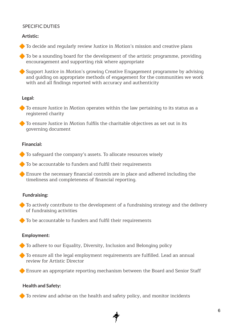#### SPECIFIC DUTIES

#### **Artistic:**

To decide and regularly review Justice in Motion's mission and creative plans

◆ To be a sounding board for the development of the artistic programme, providing encouragement and supporting risk where appropriate

◆ Support Justice in Motion's growing Creative Engagement programme by advising and guiding on appropriate methods of engagement for the communities we work with and all findings reported with accuracy and authenticity

#### **Legal:**

◆ To ensure Justice in Motion operates within the law pertaining to its status as a registered charity

 To ensure Justice in Motion fulfils the charitable objectives as set out in its governing document

#### **Financial:**

 $\bullet$  To safequard the company's assets. To allocate resources wisely

To be accountable to funders and fulfil their requirements

 Ensure the necessary financial controls are in place and adhered including the timeliness and completeness of financial reporting.

#### **Fundraising:**

◆ To actively contribute to the development of a fundraising strategy and the delivery of fundraising activities

To be accountable to funders and fulfil their requirements

#### **Employment:**

◆ To adhere to our Equality, Diversity, Inclusion and Belonging policy

 To ensure all the legal employment requirements are fulfilled. Lead an annual review for Artistic Director

Ensure an appropriate reporting mechanism between the Board and Senior Staff

#### **Health and Safety:**

◆ To review and advise on the health and safety policy, and monitor incidents

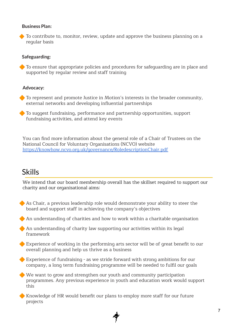#### **Business Plan:**

◆ To contribute to, monitor, review, update and approve the business planning on a regular basis

#### **Safeguarding:**

◆ To ensure that appropriate policies and procedures for safequarding are in place and supported by regular review and staff training

#### **Advocacy:**

◆ To represent and promote Justice in Motion's interests in the broader community, external networks and developing influential partnerships

 To suggest fundraising, performance and partnership opportunities, support fundraising activities, and attend key events

You can find more information about the general role of a Chair of Trustees on the National Council for Voluntary Organisations (NCVO) website <https://knowhow.ncvo.org.uk/governance/RoledescriptionChair.pdf>

# Skills

We intend that our board membership overall has the skillset required to support our charity and our organisational aims:

As Chair, a previous leadership role would demonstrate your ability to steer the board and support staff in achieving the company's objectives

An understanding of charities and how to work within a charitable organisation

 An understanding of charity law supporting our activities within its legal framework

 Experience of working in the performing arts sector will be of great benefit to our overall planning and help us thrive as a business

 Experience of fundraising - as we stride forward with strong ambitions for our company, a long term fundraising programme will be needed to fulfil our goals

We want to grow and strengthen our youth and community participation programmes. Any previous experience in youth and education work would support this

Knowledge of HR would benefit our plans to employ more staff for our future projects

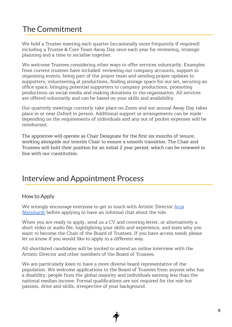# The Commitment

We hold a Trustee meeting each quarter (occasionally more frequently if required) including a Trustee & Core Team Away Day once each year for reviewing, strategic planning and a time to socialise together.

We welcome Trustees considering other ways to offer services voluntarily. Examples from current trustees have included: reviewing our company accounts, support in organising events, being part of the prayer team and sending prayer updates to supporters, volunteering at productions, finding storage space for our set, securing an office space, bringing potential supporters to company productions, promoting productions on social media and making donations to the organisation. All services are offered voluntarily and can be based on your skills and availability.

Our quarterly meetings currently take place on Zoom and our annual Away Day takes place in or near Oxford in person. Additional support or arrangements can be made depending on the requirements of individuals and any out of pocket expenses will be reimbursed.

The appointee will operate as Chair Designate for the first six months of tenure, working alongside our interim Chair to ensure a smooth transition. The Chair and Trustees will hold their position for an initial 2 year period, which can be renewed in line with our constitution.

# Interview and Appointment Process

#### How to Apply

We strongly encourage everyone to get in touch with Artistic Director [Anja](mailto:info@justiceinmotion.co.uk) [Meinhardt](mailto:info@justiceinmotion.co.uk) before applying to have an informal chat about the role.

When you are ready to apply, send us a CV and covering letter, or alternatively a short video or audio file, highlighting your skills and experience, and state why you want to become the Chair of the Board of Trustees. If you have access needs please let us know if you would like to apply in a different way.

All shortlisted candidates will be invited to attend an online interview with the Artistic Director and other members of the Board of Trustees.

We are particularly keen to have a more diverse board representative of the population. We welcome applications to the Board of Trustees from anyone who has a disability, people from the global majority and individuals earning less than the national median income. Formal qualifications are not required for the role but passion, drive and skills, irrespective of your background.